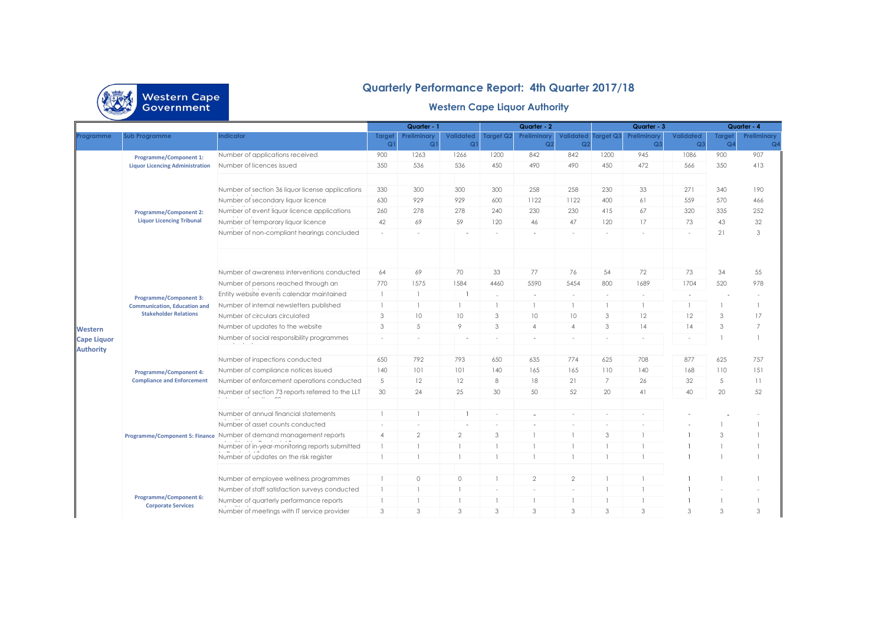

## **Quarterly Performance Report: 4th Quarter 2017/18**

## **Western Cape Liquor Authority**

|                                                                |                                                                         |                                                                    | Quarter - 1         |                               |                                    |                          | Quarter - 2                   |                             | Quarter - 3    |                                      | Quarter - 4                        |                          |                               |
|----------------------------------------------------------------|-------------------------------------------------------------------------|--------------------------------------------------------------------|---------------------|-------------------------------|------------------------------------|--------------------------|-------------------------------|-----------------------------|----------------|--------------------------------------|------------------------------------|--------------------------|-------------------------------|
|                                                                | <b>Sub Programme</b>                                                    | ndicator                                                           | <b>Target</b><br>Q1 | Preliminary<br>Q <sub>1</sub> | <b>Validated</b><br>Q <sub>1</sub> | Target Q2                | Preliminary<br>Q <sub>2</sub> | Validated<br>Q <sub>2</sub> | Target Q3      | <b>Preliminary</b><br>Q <sub>3</sub> | <b>Validated</b><br>Q <sub>3</sub> | Target<br>Q <sub>4</sub> | Preliminary<br>Q <sub>4</sub> |
| Programme<br>Western<br><b>Cape Liquor</b><br><b>Authority</b> | <b>Programme/Component 1:</b><br><b>Liquor Licencing Administration</b> | Number of applications received                                    | 900                 | 1263                          | 1266                               | 1200                     | 842                           | 842                         | 1200           | 945                                  | 1086                               | 900                      | 907                           |
|                                                                |                                                                         | Number of licences issued                                          | 350                 | 536                           | 536                                | 450                      | 490                           | 490                         | 450            | 472                                  | 566                                | 350                      | 413                           |
|                                                                |                                                                         |                                                                    |                     |                               |                                    |                          |                               |                             |                |                                      |                                    |                          |                               |
|                                                                |                                                                         | Number of section 36 liquor license applications                   | 330                 | 300                           | 300                                | 300                      | 258                           | 258                         | 230            | 33                                   | 271                                | 340                      | 190                           |
|                                                                |                                                                         | Number of secondary liquor licence                                 | 630                 | 929                           | 929                                | 600                      | 1122                          | 1122                        | 400            | 61                                   | 559                                | 570                      | 466                           |
|                                                                | <b>Programme/Component 2:</b>                                           | Number of event liquor licence applications                        | 260                 | 278                           | 278                                | 240                      | 230                           | 230                         | 415            | 67                                   | 320                                | 335                      | 252                           |
|                                                                | <b>Liquor Licencing Tribunal</b>                                        | Number of temporary liquor licence                                 | 42                  | 69                            | 59                                 | 120                      | 46                            | 47                          | 120            | 17                                   | 73                                 | 43                       | 32                            |
|                                                                |                                                                         | Number of non-compliant hearings concluded                         | $\sim$              | $\sim$                        | ٠                                  | $\sim$                   | $\sim$                        | $\sim$                      | $\sim$         | $\sim$                               | $\sim$                             | 21                       | 3                             |
|                                                                |                                                                         |                                                                    |                     |                               |                                    |                          |                               |                             |                |                                      |                                    |                          |                               |
|                                                                |                                                                         | Number of awareness interventions conducted                        | 64                  | 69                            | 70                                 | 33                       | 77                            | 76                          | 54             | 72                                   | 73                                 | 34                       | 55                            |
|                                                                |                                                                         | Number of persons reached through an                               | 770                 | 1575                          | 1584                               | 4460                     | 5590                          | 5454                        | 800            | 1689                                 | 1704                               | 520                      | 978                           |
|                                                                | <b>Programme/Component 3:</b>                                           | Entity website events calendar maintained                          | $\overline{1}$      | $\mathbf{1}$                  |                                    |                          | $\overline{\phantom{a}}$      | $\sim$                      | $\sim$         | ä,                                   |                                    |                          |                               |
|                                                                | <b>Communication, Education and</b>                                     | Number of internal newsletters published                           | -1                  | $\mathbf{1}$                  |                                    |                          |                               |                             | $\mathbf{1}$   |                                      |                                    |                          | $\overline{1}$                |
|                                                                | <b>Stakeholder Relations</b>                                            | Number of circulars circulated                                     | 3                   | 10                            | 10                                 | 3                        | 10                            | 10                          | 3              | 12                                   | 12                                 | 3                        | 17                            |
|                                                                |                                                                         | Number of updates to the website                                   | 3                   | 5                             | 9                                  | 3                        | $\overline{4}$                | $\overline{4}$              | 3              | 14                                   | 14                                 | 3                        | $\overline{7}$                |
|                                                                |                                                                         | Number of social responsibility programmes                         | $\sim$              | $\sim$                        |                                    | $\overline{\phantom{a}}$ |                               |                             | $\sim$         | $\sim$                               |                                    |                          |                               |
|                                                                |                                                                         | Number of inspections conducted                                    | 650                 | 792                           | 793                                | 650                      | 635                           | 774                         | 625            | 708                                  | 877                                | 625                      | 757                           |
|                                                                |                                                                         | Number of compliance notices issued                                | 140                 | 101                           | 101                                | 140                      | 165                           | 165                         | 110            | 140                                  | 168                                | 110                      | 151                           |
|                                                                | <b>Programme/Component 4:</b><br><b>Compliance and Enforcement</b>      | Number of enforcement operations conducted                         | 5                   | 12                            | 12                                 | 8                        | 18                            | 21                          | 7              | 26                                   | 32                                 | 5                        | 11                            |
|                                                                |                                                                         | Number of section 73 reports referred to the LLT                   | 30                  | 24                            | 25                                 | 30                       | 50                            | 52                          | 20             | 41                                   | 40                                 | 20                       | 52                            |
|                                                                |                                                                         |                                                                    |                     |                               |                                    |                          |                               |                             |                |                                      |                                    |                          |                               |
|                                                                |                                                                         | Number of annual financial statements                              | -1                  |                               |                                    |                          |                               |                             |                |                                      |                                    |                          |                               |
|                                                                |                                                                         | Number of asset counts conducted                                   | $\sim$              | ٠                             | ٠                                  | $\sim$                   |                               |                             |                |                                      |                                    |                          |                               |
|                                                                |                                                                         | Programme/Component 5: Finance Number of demand management reports | $\overline{4}$      | $\mathbf{2}$                  | $\overline{2}$                     | 3                        |                               |                             | 3              |                                      |                                    | 3                        |                               |
|                                                                |                                                                         | Number of in-year-monitoring reports submitted                     | $\overline{1}$      | $\mathbf{1}$                  |                                    |                          |                               |                             | $\overline{1}$ |                                      |                                    |                          |                               |
|                                                                |                                                                         | Number of updates on the risk register                             | $\overline{1}$      | $\mathbf{1}$                  |                                    | $\overline{1}$           |                               |                             | $\overline{1}$ |                                      |                                    |                          |                               |
|                                                                |                                                                         | Number of employee wellness programmes                             | -1                  | $\circ$                       | $\circ$                            |                          | $\overline{2}$                | $\overline{2}$              | -1             |                                      |                                    |                          |                               |
|                                                                |                                                                         | Number of staff satisfaction surveys conducted                     |                     | $\mathbf{1}$                  |                                    | $\sim$                   | $\sim$                        | $\sim$                      |                |                                      |                                    |                          |                               |
|                                                                | <b>Programme/Component 6:</b>                                           | Number of quarterly performance reports                            |                     | $\mathbf{1}$                  |                                    |                          |                               |                             | $\mathbf{1}$   |                                      |                                    |                          |                               |
|                                                                | <b>Corporate Services</b>                                               | Number of meetings with IT service provider                        | 3                   | 3                             | 3                                  | 3                        | 3                             | 3                           | 3              | 3                                    | 3                                  | 3                        | 3                             |